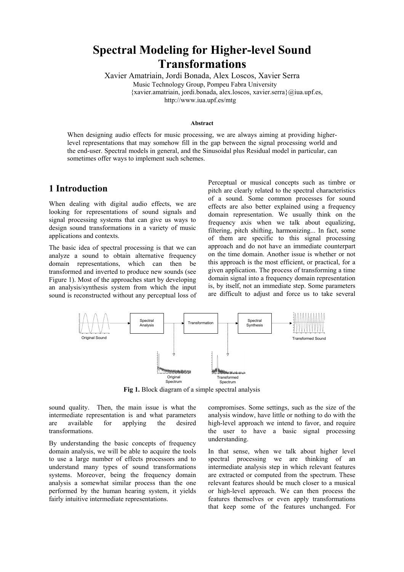# **Spectral Modeling for Higher-level Sound Transformations**

Xavier Amatriain, Jordi Bonada, Alex Loscos, Xavier Serra Music Technology Group, Pompeu Fabra University {xavier.amatriain, jordi.bonada, alex.loscos, xavier.serra}@iua.upf.es, http://www.iua.upf.es/mtg

#### **Abstract**

When designing audio effects for music processing, we are always aiming at providing higherlevel representations that may somehow fill in the gap between the signal processing world and the end-user. Spectral models in general, and the Sinusoidal plus Residual model in particular, can sometimes offer ways to implement such schemes.

## **1 Introduction**

When dealing with digital audio effects, we are looking for representations of sound signals and signal processing systems that can give us ways to design sound transformations in a variety of music applications and contexts.

The basic idea of spectral processing is that we can analyze a sound to obtain alternative frequency domain representations, which can then be transformed and inverted to produce new sounds (see Figure 1). Most of the approaches start by developing an analysis/synthesis system from which the input sound is reconstructed without any perceptual loss of Perceptual or musical concepts such as timbre or pitch are clearly related to the spectral characteristics of a sound. Some common processes for sound effects are also better explained using a frequency domain representation. We usually think on the frequency axis when we talk about equalizing, filtering, pitch shifting, harmonizing... In fact, some of them are specific to this signal processing approach and do not have an immediate counterpart on the time domain. Another issue is whether or not this approach is the most efficient, or practical, for a given application. The process of transforming a time domain signal into a frequency domain representation is, by itself, not an immediate step. Some parameters are difficult to adjust and force us to take several



**Fig 1.** Block diagram of a simple spectral analysis

sound quality. Then, the main issue is what the intermediate representation is and what parameters are available for applying the desired transformations.

By understanding the basic concepts of frequency domain analysis, we will be able to acquire the tools to use a large number of effects processors and to understand many types of sound transformations systems. Moreover, being the frequency domain analysis a somewhat similar process than the one performed by the human hearing system, it yields fairly intuitive intermediate representations.

compromises. Some settings, such as the size of the analysis window, have little or nothing to do with the high-level approach we intend to favor, and require the user to have a basic signal processing understanding.

In that sense, when we talk about higher level spectral processing we are thinking of an intermediate analysis step in which relevant features are extracted or computed from the spectrum. These relevant features should be much closer to a musical or high-level approach. We can then process the features themselves or even apply transformations that keep some of the features unchanged. For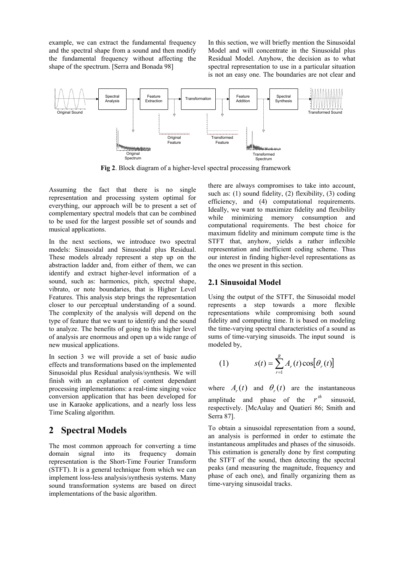example, we can extract the fundamental frequency and the spectral shape from a sound and then modify the fundamental frequency without affecting the shape of the spectrum. [Serra and Bonada 98]

In this section, we will briefly mention the Sinusoidal Model and will concentrate in the Sinusoidal plus Residual Model. Anyhow, the decision as to what spectral representation to use in a particular situation is not an easy one. The boundaries are not clear and



**Fig 2**. Block diagram of a higher-level spectral processing framework

Assuming the fact that there is no single representation and processing system optimal for everything, our approach will be to present a set of complementary spectral models that can be combined to be used for the largest possible set of sounds and musical applications.

In the next sections, we introduce two spectral models: Sinusoidal and Sinusoidal plus Residual. These models already represent a step up on the abstraction ladder and, from either of them, we can identify and extract higher-level information of a sound, such as: harmonics, pitch, spectral shape, vibrato, or note boundaries, that is Higher Level Features. This analysis step brings the representation closer to our perceptual understanding of a sound. The complexity of the analysis will depend on the type of feature that we want to identify and the sound to analyze. The benefits of going to this higher level of analysis are enormous and open up a wide range of new musical applications.

In section 3 we will provide a set of basic audio effects and transformations based on the implemented Sinusoidal plus Residual analysis/synthesis. We will finish with an explanation of content dependant processing implementations: a real-time singing voice conversion application that has been developed for use in Karaoke applications, and a nearly loss less Time Scaling algorithm.

# **2 Spectral Models**

The most common approach for converting a time domain signal into its frequency domain representation is the Short-Time Fourier Transform (STFT). It is a general technique from which we can implement loss-less analysis/synthesis systems. Many sound transformation systems are based on direct implementations of the basic algorithm.

there are always compromises to take into account, such as: (1) sound fidelity, (2) flexibility, (3) coding efficiency, and (4) computational requirements. Ideally, we want to maximize fidelity and flexibility while minimizing memory consumption and computational requirements. The best choice for maximum fidelity and minimum compute time is the STFT that, anyhow, yields a rather inflexible representation and inefficient coding scheme. Thus our interest in finding higher-level representations as the ones we present in this section.

## **2.1 Sinusoidal Model**

Using the output of the STFT, the Sinusoidal model represents a step towards a more flexible representations while compromising both sound fidelity and computing time. It is based on modeling the time-varying spectral characteristics of a sound as sums of time-varying sinusoids. The input sound is modeled by,

(1) 
$$
s(t) = \sum_{r=1}^{R} A_r(t) \cos[\theta_r(t)]
$$

where  $A_r(t)$  and  $\theta_r(t)$  are the instantaneous amplitude and phase of the  $r^{th}$ sinusoid. respectively. [McAulay and Quatieri 86; Smith and Serra 87].

To obtain a sinusoidal representation from a sound, an analysis is performed in order to estimate the instantaneous amplitudes and phases of the sinusoids. This estimation is generally done by first computing the STFT of the sound, then detecting the spectral peaks (and measuring the magnitude, frequency and phase of each one), and finally organizing them as time-varying sinusoidal tracks.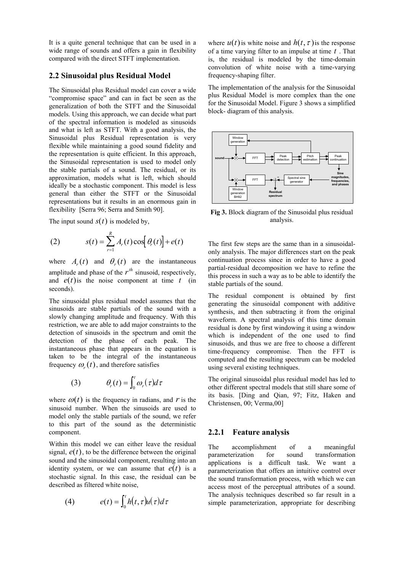It is a quite general technique that can be used in a wide range of sounds and offers a gain in flexibility compared with the direct STFT implementation.

#### **2.2 Sinusoidal plus Residual Model**

The Sinusoidal plus Residual model can cover a wide "compromise space" and can in fact be seen as the generalization of both the STFT and the Sinusoidal models. Using this approach, we can decide what part of the spectral information is modeled as sinusoids and what is left as STFT. With a good analysis, the Sinusoidal plus Residual representation is very flexible while maintaining a good sound fidelity and the representation is quite efficient. In this approach, the Sinusoidal representation is used to model only the stable partials of a sound. The residual, or its approximation, models what is left, which should ideally be a stochastic component. This model is less general than either the STFT or the Sinusoidal representations but it results in an enormous gain in flexibility [Serra 96; Serra and Smith 90].

The input sound  $s(t)$  is modeled by,

(2) 
$$
s(t) = \sum_{r=1}^{R} A_r(t) \cos[\theta_r(t)] + e(t)
$$

where  $A_r(t)$  and  $\theta_r(t)$  are the instantaneous amplitude and phase of the  $r^{th}$  sinusoid, respectively, and  $e(t)$  is the noise component at time  $t$  (in seconds).

The sinusoidal plus residual model assumes that the sinusoids are stable partials of the sound with a slowly changing amplitude and frequency. With this restriction, we are able to add major constraints to the detection of sinusoids in the spectrum and omit the detection of the phase of each peak. The instantaneous phase that appears in the equation is taken to be the integral of the instantaneous frequency  $\omega_r(t)$ , and therefore satisfies

(3) 
$$
\theta_r(t) = \int_0^t \omega_r(\tau) d\tau
$$

where  $\omega(t)$  is the frequency in radians, and *r* is the sinusoid number. When the sinusoids are used to model only the stable partials of the sound, we refer to this part of the sound as the deterministic component.

Within this model we can either leave the residual signal,  $e(t)$ , to be the difference between the original sound and the sinusoidal component, resulting into an identity system, or we can assume that  $e(t)$  is a stochastic signal. In this case, the residual can be described as filtered white noise,

(4) 
$$
e(t) = \int_0^t h(t, \tau) u(\tau) d\tau
$$

where  $u(t)$  is white noise and  $h(t, \tau)$  is the response of a time varying filter to an impulse at time *t* . That is, the residual is modeled by the time-domain convolution of white noise with a time-varying frequency-shaping filter.

The implementation of the analysis for the Sinusoidal plus Residual Model is more complex than the one for the Sinusoidal Model. Figure 3 shows a simplified block- diagram of this analysis.



**Fig 3.** Block diagram of the Sinusoidal plus residual analysis.

The first few steps are the same than in a sinusoidalonly analysis. The major differences start on the peak continuation process since in order to have a good partial-residual decomposition we have to refine the this process in such a way as to be able to identify the stable partials of the sound.

The residual component is obtained by first generating the sinusoidal component with additive synthesis, and then subtracting it from the original waveform. A spectral analysis of this time domain residual is done by first windowing it using a window which is independent of the one used to find sinusoids, and thus we are free to choose a different time-frequency compromise. Then the FFT is computed and the resulting spectrum can be modeled using several existing techniques.

The original sinusoidal plus residual model has led to other different spectral models that still share some of its basis. [Ding and Qian, 97; Fitz, Haken and Christensen, 00; Verma,00]

#### **2.2.1 Feature analysis**

The accomplishment of a meaningful parameterization for sound transformation applications is a difficult task. We want a parameterization that offers an intuitive control over the sound transformation process, with which we can access most of the perceptual attributes of a sound. The analysis techniques described so far result in a simple parameterization, appropriate for describing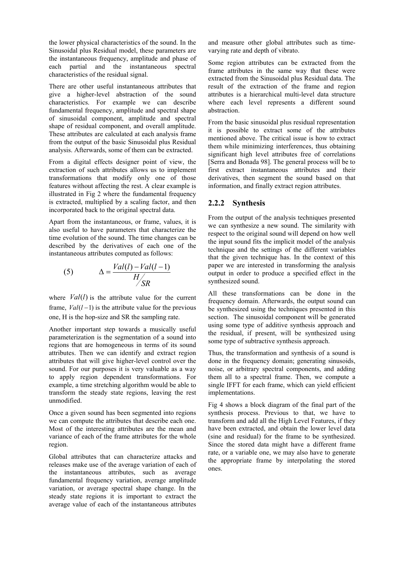the lower physical characteristics of the sound. In the Sinusoidal plus Residual model, these parameters are the instantaneous frequency, amplitude and phase of each partial and the instantaneous spectral characteristics of the residual signal.

There are other useful instantaneous attributes that give a higher-level abstraction of the sound characteristics. For example we can describe fundamental frequency, amplitude and spectral shape of sinusoidal component, amplitude and spectral shape of residual component, and overall amplitude. These attributes are calculated at each analysis frame from the output of the basic Sinusoidal plus Residual analysis. Afterwards, some of them can be extracted.

From a digital effects designer point of view, the extraction of such attributes allows us to implement transformations that modify only one of those features without affecting the rest. A clear example is illustrated in Fig 2 where the fundamental frequency is extracted, multiplied by a scaling factor, and then incorporated back to the original spectral data.

Apart from the instantaneous, or frame, values, it is also useful to have parameters that characterize the time evolution of the sound. The time changes can be described by the derivatives of each one of the instantaneous attributes computed as follows:

(5) 
$$
\Delta = \frac{Val(l) - Val(l-1)}{H_{SR}'}
$$

where *Val*(*l*) is the attribute value for the current frame,  $Val(l-1)$  is the attribute value for the previous one, H is the hop-size and SR the sampling rate.

Another important step towards a musically useful parameterization is the segmentation of a sound into regions that are homogeneous in terms of its sound attributes. Then we can identify and extract region attributes that will give higher-level control over the sound. For our purposes it is very valuable as a way to apply region dependent transformations. For example, a time stretching algorithm would be able to transform the steady state regions, leaving the rest unmodified.

Once a given sound has been segmented into regions we can compute the attributes that describe each one. Most of the interesting attributes are the mean and variance of each of the frame attributes for the whole region.

Global attributes that can characterize attacks and releases make use of the average variation of each of the instantaneous attributes, such as average fundamental frequency variation, average amplitude variation, or average spectral shape change. In the steady state regions it is important to extract the average value of each of the instantaneous attributes and measure other global attributes such as timevarying rate and depth of vibrato.

Some region attributes can be extracted from the frame attributes in the same way that these were extracted from the Sinusoidal plus Residual data. The result of the extraction of the frame and region attributes is a hierarchical multi-level data structure where each level represents a different sound abstraction.

From the basic sinusoidal plus residual representation it is possible to extract some of the attributes mentioned above. The critical issue is how to extract them while minimizing interferences, thus obtaining significant high level attributes free of correlations [Serra and Bonada 98]. The general process will be to first extract instantaneous attributes and their derivatives, then segment the sound based on that information, and finally extract region attributes.

### **2.2.2 Synthesis**

From the output of the analysis techniques presented we can synthesize a new sound. The similarity with respect to the original sound will depend on how well the input sound fits the implicit model of the analysis technique and the settings of the different variables that the given technique has. In the context of this paper we are interested in transforming the analysis output in order to produce a specified effect in the synthesized sound.

All these transformations can be done in the frequency domain. Afterwards, the output sound can be synthesized using the techniques presented in this section. The sinusoidal component will be generated using some type of additive synthesis approach and the residual, if present, will be synthesized using some type of subtractive synthesis approach.

Thus, the transformation and synthesis of a sound is done in the frequency domain; generating sinusoids, noise, or arbitrary spectral components, and adding them all to a spectral frame. Then, we compute a single IFFT for each frame, which can yield efficient implementations.

Fig 4 shows a block diagram of the final part of the synthesis process. Previous to that, we have to transform and add all the High Level Features, if they have been extracted, and obtain the lower level data (sine and residual) for the frame to be synthesized. Since the stored data might have a different frame rate, or a variable one, we may also have to generate the appropriate frame by interpolating the stored ones.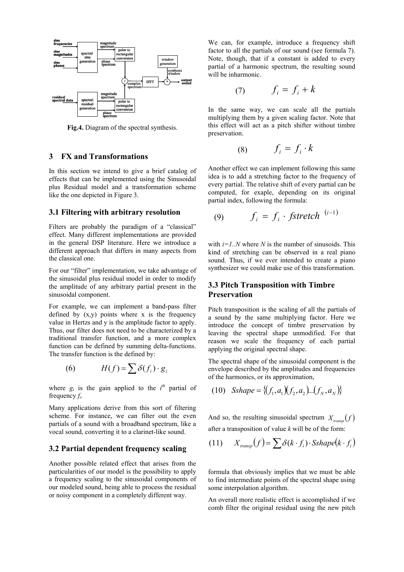

**Fig.4.** Diagram of the spectral synthesis.

#### **3 FX and Transformations**

In this section we intend to give a brief catalog of effects that can be implemented using the Sinusoidal plus Residual model and a transformation scheme like the one depicted in Figure 3.

#### **3.1 Filtering with arbitrary resolution**

Filters are probably the paradigm of a "classical" effect. Many different implementations are provided in the general DSP literature. Here we introduce a different approach that differs in many aspects from the classical one.

For our "filter" implementation, we take advantage of the sinusoidal plus residual model in order to modify the amplitude of any arbitrary partial present in the sinusoidal component.

For example, we can implement a band-pass filter defined by  $(x,y)$  points where x is the frequency value in Hertzs and y is the amplitude factor to apply. Thus, our filter does not need to be characterized by a traditional transfer function, and a more complex function can be defined by summing delta-functions. The transfer function is the defined by:

$$
(6) \tH(f) = \sum \delta(f_i) \cdot g_i
$$

where  $g_i$  is the gain applied to the  $i^{th}$  partial of frequency *fi*.

Many applications derive from this sort of filtering scheme. For instance, we can filter out the even partials of a sound with a broadband spectrum, like a vocal sound, converting it to a clarinet-like sound.

#### **3.2 Partial dependent frequency scaling**

Another possible related effect that arises from the particularities of our model is the possibility to apply a frequency scaling to the sinusoidal components of our modeled sound, being able to process the residual or noisy component in a completely different way.

We can, for example, introduce a frequency shift factor to all the partials of our sound (see formula 7). Note, though, that if a constant is added to every partial of a harmonic spectrum, the resulting sound will be inharmonic.

$$
(7) \t\t f_i = f_i + k
$$

In the same way, we can scale all the partials multiplying them by a given scaling factor. Note that this effect will act as a pitch shifter without timbre preservation.

$$
(8) \t\t f_i = f_i \cdot k
$$

Another effect we can implement following this same idea is to add a stretching factor to the frequency of every partial. The relative shift of every partial can be computed, for exaple, depending on its original partial index, following the formula:

$$
(9) \qquad f_i = f_i \cdot \text{fstretch}^{(i-1)}
$$

with  $i=1..N$  where N is the number of sinusoids. This kind of stretching can be observed in a real piano sound. Thus, if we ever intended to create a piano synthesizer we could make use of this transformation.

#### **3.3 Pitch Transposition with Timbre Preservation**

Pitch transposition is the scaling of all the partials of a sound by the same multiplying factor. Here we introduce the concept of timbre preservation by leaving the spectral shape unmodified. For that reason we scale the frequency of each partial applying the original spectral shape.

The spectral shape of the sinusoidal component is the envelope described by the amplitudes and frequencies of the harmonics, or its approximation,

(10) 
$$
Sshape = \{(f_1, a_1)(f_2, a_2)...(f_N, a_N)\}
$$

And so, the resulting sinusoidal spectrum  $X_{trans} (f)$ after a transposition of value *k* will be of the form:

(11) 
$$
X_{transp}(f) = \sum \delta(k \cdot f_i) \cdot Sshape(k \cdot f_i)
$$

formula that obviously implies that we must be able to find intermediate points of the spectral shape using some interpolation algorithm.

An overall more realistic effect is accomplished if we comb filter the original residual using the new pitch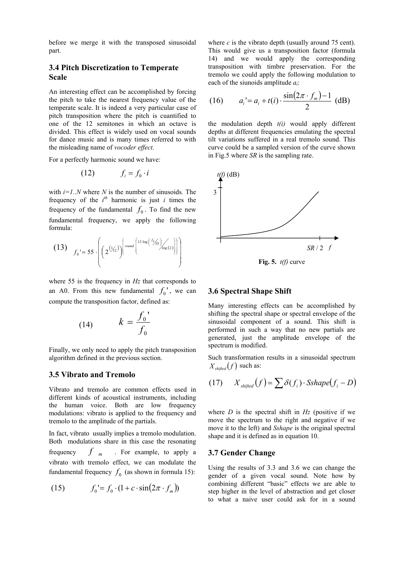before we merge it with the transposed sinusoidal part.

# **3.4 Pitch Discretization to Temperate Scale**

An interesting effect can be accomplished by forcing the pitch to take the nearest frequency value of the temperate scale. It is indeed a very particular case of pitch transposition where the pitch is cuantified to one of the 12 semitones in which an octave is divided. This effect is widely used on vocal sounds for dance music and is many times referred to with the misleading name of *vocoder effect*.

For a perfectly harmonic sound we have:

$$
(12) \t\t f_i = f_0 \cdot i
$$

with  $i=1..N$  where N is the number of sinusoids. The frequency of the  $i^{th}$  harmonic is just *i* times the frequency of the fundamental  $f_0$ . To find the new fundamental frequency, we apply the following formula:

$$
(13) \t f_0' = 55 \cdot \left( \left( 2^{(\frac{1}{2})} \right)^{\left[ \text{round} \left( \frac{12 \cdot \log \left( \frac{f_0}{f_{SS}} \right)}{\log \left( 2 \right)} \right) \right]} \right)
$$

where 55 is the frequency in *Hz* that corresponds to an A0. From this new fundamental  $f_0'$ , we can compute the transposition factor, defined as:

$$
(14) \qquad k = \frac{f_0}{f_0}
$$

Finally, we only need to apply the pitch transposition algorithm defined in the previous section.

#### **3.5 Vibrato and Tremolo**

Vibrato and tremolo are common effects used in different kinds of acoustical instruments, including the human voice. Both are low frequency modulations: vibrato is applied to the frequency and tremolo to the amplitude of the partials.

In fact, vibrato usually implies a tremolo modulation. Both modulations share in this case the resonating frequency  $f_{m}$  For example, to apply a vibrato with tremolo effect, we can modulate the fundamental frequency  $f_0$  (as shown in formula 15):

$$
(15) \qquad f_0' = f_0 \cdot (1 + c \cdot \sin(2\pi \cdot f_m))
$$

where  $c$  is the vibrato depth (usually around 75 cent). This would give us a transposition factor (formula 14) and we would apply the corresponding transposition with timbre preservation. For the tremolo we could apply the following modulation to each of the siunoids amplitude *ai*:

(16) 
$$
a_i = a_i + t(i) \cdot \frac{\sin(2\pi \cdot f_m) - 1}{2} \text{ (dB)}
$$

the modulation depth *t(i)* would apply different depths at different frequencies emulating the spectral tilt variations suffered in a real tremolo sound. This curve could be a sampled version of the curve shown in Fig.5 where *SR* is the sampling rate.



**Fig. 5.** *t(f)* curve

#### **3.6 Spectral Shape Shift**

Many interesting effects can be accomplished by shifting the spectral shape or spectral envelope of the sinusoidal component of a sound. This shift is performed in such a way that no new partials are generated, just the amplitude envelope of the spectrum is modified.

Such transformation results in a sinusoidal spectrum  $X_{\text{shifted}}(f)$  such as:

$$
(17) \qquad X_{\text{shifted}}(f) = \sum \delta(f_i) \cdot \text{Sshape}(f_i - D)
$$

where  $D$  is the spectral shift in  $Hz$  (positive if we move the spectrum to the right and negative if we move it to the left) and *Sshape* is the original spectral shape and it is defined as in equation 10.

#### **3.7 Gender Change**

Using the results of 3.3 and 3.6 we can change the gender of a given vocal sound. Note how by combining different "basic" effects we are able to step higher in the level of abstraction and get closer to what a naive user could ask for in a sound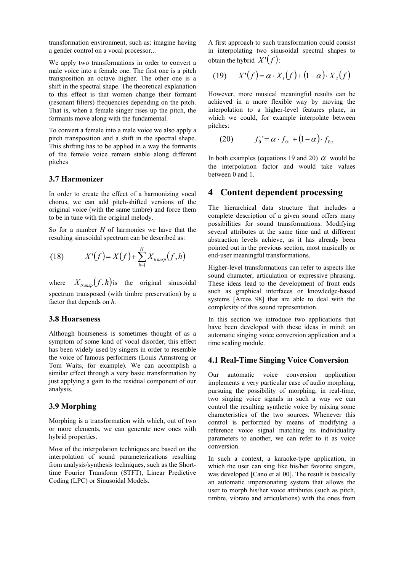transformation environment, such as: imagine having a gender control on a vocal processor...

We apply two transformations in order to convert a male voice into a female one. The first one is a pitch transposition an octave higher. The other one is a shift in the spectral shape. The theoretical explanation to this effect is that women change their formant (resonant filters) frequencies depending on the pitch. That is, when a female singer rises up the pitch, the formants move along with the fundamental.

To convert a female into a male voice we also apply a pitch transposition and a shift in the spectral shape. This shifting has to be applied in a way the formants of the female voice remain stable along different pitches

#### **3.7 Harmonizer**

In order to create the effect of a harmonizing vocal chorus, we can add pitch-shifted versions of the original voice (with the same timbre) and force them to be in tune with the original melody.

So for a number *H* of harmonies we have that the resulting sinusoidal spectrum can be described as:

(18) 
$$
X'(f) = X(f) + \sum_{h=1}^{H} X_{transp}(f, h)
$$

where  $X_{transp} (f,h)$  is the original sinusoidal spectrum transposed (with timbre preservation) by a factor that depends on *h*.

#### **3.8 Hoarseness**

Although hoarseness is sometimes thought of as a symptom of some kind of vocal disorder, this effect has been widely used by singers in order to resemble the voice of famous performers (Louis Armstrong or Tom Waits, for example). We can accomplish a similar effect through a very basic transformation by just applying a gain to the residual component of our analysis.

#### **3.9 Morphing**

Morphing is a transformation with which, out of two or more elements, we can generate new ones with hybrid properties.

Most of the interpolation techniques are based on the interpolation of sound parameterizations resulting from analysis/synthesis techniques, such as the Shorttime Fourier Transform (STFT), Linear Predictive Coding (LPC) or Sinusoidal Models.

A first approach to such transformation could consist in interpolating two sinusoidal spectral shapes to obtain the hybrid  $X'(\mathcal{f})$ :

$$
(19) \qquad X'(f) = \alpha \cdot X_1(f) + (1 - \alpha) \cdot X_2(f)
$$

However, more musical meaningful results can be achieved in a more flexible way by moving the interpolation to a higher-level features plane, in which we could, for example interpolate between pitches:

(20) 
$$
f_0' = \alpha \cdot f_{01} + (1 - \alpha) \cdot f_{02}
$$

In both examples (equations 19 and 20)  $\alpha$  would be the interpolation factor and would take values between 0 and 1.

## **4 Content dependent processing**

The hierarchical data structure that includes a complete description of a given sound offers many possibilities for sound transformations. Modifying several attributes at the same time and at different abstraction levels achieve, as it has already been pointed out in the previous section, most musically or end-user meaningful transformations.

Higher-level transformations can refer to aspects like sound character, articulation or expressive phrasing. These ideas lead to the development of front ends such as graphical interfaces or knowledge-based systems [Arcos 98] that are able to deal with the complexity of this sound representation.

In this section we introduce two applications that have been developed with these ideas in mind: an automatic singing voice conversion application and a time scaling module.

#### **4.1 Real-Time Singing Voice Conversion**

Our automatic voice conversion application implements a very particular case of audio morphing, pursuing the possibility of morphing, in real-time, two singing voice signals in such a way we can control the resulting synthetic voice by mixing some characteristics of the two sources. Whenever this control is performed by means of modifying a reference voice signal matching its individuality parameters to another, we can refer to it as voice conversion.

In such a context, a karaoke-type application, in which the user can sing like his/her favorite singers, was developed [Cano et al 00]. The result is basically an automatic impersonating system that allows the user to morph his/her voice attributes (such as pitch, timbre, vibrato and articulations) with the ones from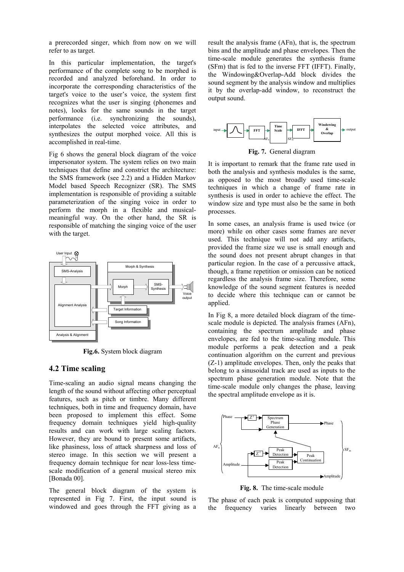a prerecorded singer, which from now on we will refer to as target.

In this particular implementation, the target's performance of the complete song to be morphed is recorded and analyzed beforehand. In order to incorporate the corresponding characteristics of the target's voice to the user's voice, the system first recognizes what the user is singing (phonemes and notes), looks for the same sounds in the target performance (i.e. synchronizing the sounds), interpolates the selected voice attributes, and synthesizes the output morphed voice. All this is accomplished in real-time.

Fig 6 shows the general block diagram of the voice impersonator system. The system relies on two main techniques that define and constrict the architecture: the SMS framework (see 2.2) and a Hidden Markov Model based Speech Recognizer (SR). The SMS implementation is responsible of providing a suitable parameterization of the singing voice in order to perform the morph in a flexible and musicalmeaningful way. On the other hand, the SR is responsible of matching the singing voice of the user with the target.



**Fig.6.** System block diagram

#### **4.2 Time scaling**

Time-scaling an audio signal means changing the length of the sound without affecting other perceptual features, such as pitch or timbre. Many different techniques, both in time and frequency domain, have been proposed to implement this effect. Some frequency domain techniques yield high-quality results and can work with large scaling factors. However, they are bound to present some artifacts, like phasiness, loss of attack sharpness and loss of stereo image. In this section we will present a frequency domain technique for near loss-less timescale modification of a general musical stereo mix [Bonada 00].

The general block diagram of the system is represented in Fig 7. First, the input sound is windowed and goes through the FFT giving as a result the analysis frame (AFn), that is, the spectrum bins and the amplitude and phase envelopes. Then the time-scale module generates the synthesis frame (SFm) that is fed to the inverse FFT (IFFT). Finally, the Windowing&Overlap-Add block divides the sound segment by the analysis window and multiplies it by the overlap-add window, to reconstruct the output sound.



**Fig. 7.** General diagram

It is important to remark that the frame rate used in both the analysis and synthesis modules is the same, as opposed to the most broadly used time-scale techniques in which a change of frame rate in synthesis is used in order to achieve the effect. The window size and type must also be the same in both processes.

In some cases, an analysis frame is used twice (or more) while on other cases some frames are never used. This technique will not add any artifacts, provided the frame size we use is small enough and the sound does not present abrupt changes in that particular region. In the case of a percussive attack, though, a frame repetition or omission can be noticed regardless the analysis frame size. Therefore, some knowledge of the sound segment features is needed to decide where this technique can or cannot be applied.

In Fig 8, a more detailed block diagram of the timescale module is depicted. The analysis frames (AFn), containing the spectrum amplitude and phase envelopes, are fed to the time-scaling module. This module performs a peak detection and a peak continuation algorithm on the current and previous (Z-1) amplitude envelopes. Then, only the peaks that belong to a sinusoidal track are used as inputs to the spectrum phase generation module. Note that the time-scale module only changes the phase, leaving the spectral amplitude envelope as it is.



**Fig. 8.** The time-scale module

The phase of each peak is computed supposing that the frequency varies linearly between two